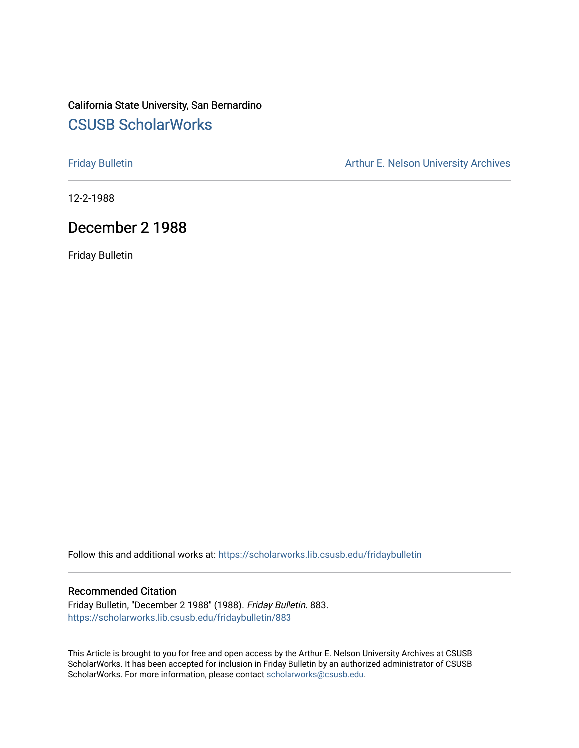#### California State University, San Bernardino [CSUSB ScholarWorks](https://scholarworks.lib.csusb.edu/)

[Friday Bulletin](https://scholarworks.lib.csusb.edu/fridaybulletin) **Arthur E. Nelson University Archives** Arthur E. Nelson University Archives

12-2-1988

#### December 2 1988

Friday Bulletin

Follow this and additional works at: [https://scholarworks.lib.csusb.edu/fridaybulletin](https://scholarworks.lib.csusb.edu/fridaybulletin?utm_source=scholarworks.lib.csusb.edu%2Ffridaybulletin%2F883&utm_medium=PDF&utm_campaign=PDFCoverPages)

#### Recommended Citation

Friday Bulletin, "December 2 1988" (1988). Friday Bulletin. 883. [https://scholarworks.lib.csusb.edu/fridaybulletin/883](https://scholarworks.lib.csusb.edu/fridaybulletin/883?utm_source=scholarworks.lib.csusb.edu%2Ffridaybulletin%2F883&utm_medium=PDF&utm_campaign=PDFCoverPages)

This Article is brought to you for free and open access by the Arthur E. Nelson University Archives at CSUSB ScholarWorks. It has been accepted for inclusion in Friday Bulletin by an authorized administrator of CSUSB ScholarWorks. For more information, please contact [scholarworks@csusb.edu.](mailto:scholarworks@csusb.edu)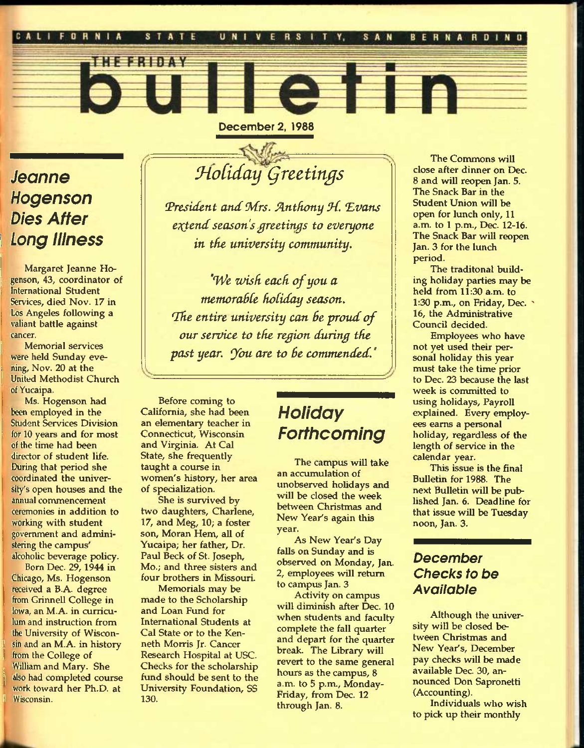

December 2, 1988

## *Jeanne Hogenson Dies After \ Long Illness*

**AN - AN HIME** 

**j** Margaret Jeanne Hogenson, 43, coordinator of **International Student** Services, died Nov. 17 in Los Angeles following a valiant battle against cancer.

Memorial services were held Sunday evening, Nov. 20 at the **<sup>1</sup>**United Methodist Church of Yucaipa.

Ms. Hogenson had been employed in the **Student Services Division** for 10 years and for most of the time had been director of student life. During that period she coordinated the university's open houses and the annual commencement ceremonies in addition to working with student government and administering the campus' alcoholic beverage policy.

Bom Dec. 29,1944 in Chicago, Ms. Hogenson received a B.A. degree from Grinnell College in Iowa, an M.A. in curriculum and instruction from the University of Wisconsin and an M.A. in history from the College of , William and Mary. She also had completed course work toward her Ph.D. at **<sup>t</sup>**Wisconsin.

# $40$ *Holiday* Greetings

*(President and Mrs. Rntfiony M. "Evans*   $ext{end}$  season's greetings to everyone *in tfie university community.* 

*"We zvisfi eacfi of you a memoraBCe fioBiday season. "The entire university can Be proud of our service to the region during the past year, ybu are to Be commended."* 

Before coming to California, she had been an elementary teacher in Connecticut, Wisconsin and Virginia. At Cal State, she frequently taught a course in women's history, her area of specialization.

She is survived by two daughters, Charlene, 17, and Meg, 10; a foster son, Moran Hem, all of Yucaipa; her father, Dr. Paul Beck of St. Joseph, Mo.; and three sisters and four brothers in Missouri.

Memorials may be made to the Scholarship and Loan Fund for International Studente at Cal State or to the Kenneth Morris Jr. Cancer Research Hospital at USC. Checks for the scholarship fund should be sent to the University Foundation, SS 130.

# *Holiday Forthcoming*

The campus will take an accumulation of unobserved holidays and will be closed the week between Christmas and New Year's again this year.

As New Year's Day falls on Sunday and is observed on Monday, Jan. 2, employees will return to campus Jan. 3

Activity on campus will diminish after Dec. 10 when students and faculty complete the fall quarter and depart for the quarter break. The Library will revert to the same general hours as the campus, 8 a.m. to 5 p.m., Monday-Friday, from Dec. 12 through Jan. 8.

The Commons will close after dinner on Dec. 8 and will reopen Jan. 5. The Snack Bar in the Student Union will be open for lunch only, 11 a.m. to 1 p.m., Dec. 12-16. The Snack Bar will reopen Jan. 3 for the lunch period.

The traditonal building holiday parties may be held from 11:30 a.m. to 1:30 p.m., on Friday, Dec.  $\gamma$ 16, the Administrative Council decided.

Employees who have not yet used their personal holiday this year must take the time prior to Dec. 23 because the last week is committed to using holidays. Payroll explained. Every employees earns a personal holiday, regardless of the length of service in the calendar year.

This issue is the final Bulletin for 1988. The next Bulletin will be published Jan. 6. Deadline for that issue will be Tuesday noon, Jan. 3.

#### *December Checks to be Available*

Although the university will be closed between Christmas and New Year's, December pay checks will be made available Dec. 30, announced Don Sapronetti (Accounting).

Individuals who wish to pick up their monthly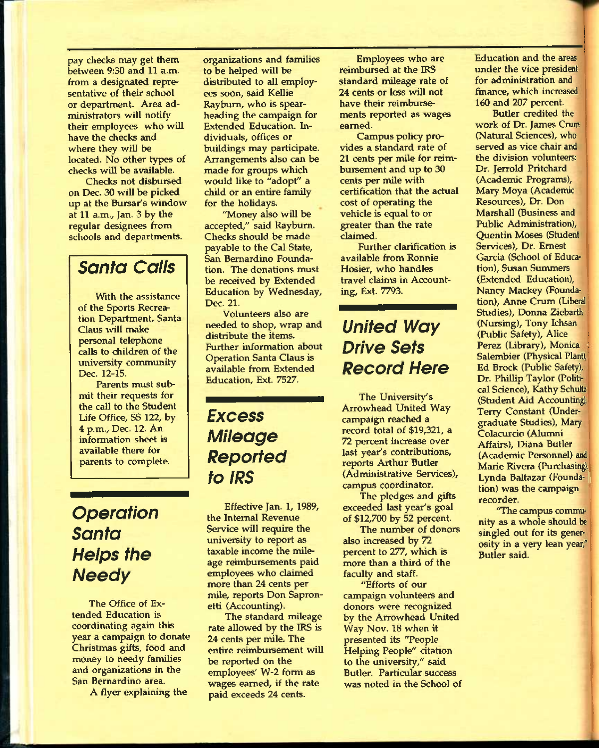pay checks may get them between 9:30 and 11 a.m. from a designated representative of their school or department. Area administrators will notify their employees who will have the checks and where they will be located. No other types of checks will be available.

Checks not disbursed on Dec. 30 will be picked up at the Bursar's window at 11 a.m., Jan. 3 by the regular designees from schools and departments.

#### *Santa Calls*

With the assistance of the Sports Recreation Department, Santa Glaus will make personal telephone calls to children of the university community Dec. 12-15.

Parents must submit their requests for the call to the Student Life Office, SS 122, by 4 p.m., Dec. 12. An information sheet is available there for parents to complete.

## *Operation Santa Helps the Needy*

The Office of Extended Education is coordinating again this year a campaign to donate Christmas gifts, food and money to needy families and organizations in the San Bernardino area.

A flyer explaining the

organizations and families to be helped will be distributed to all employees soon, said Kellie Raybum, who is spearheading the campaign for Extended Education. Individuals, offices or buildings may participate. Arrangements also can be made for groups which would like to "adopt" a child or an entire family for the holidays.

"Money also will be accepted," said Raybum. Checks should be made payable to the Cal State, San Bernardino Foundation. The donations must be received by Extended Education by Wednesday, Dec. 21.

Volunteers also are needed to shop, wrap and distribute the items. Further information about Operation Santa Claus is available from Extended Education, Ext. 7527.

### *Excess Mileage Reported to IRS*

Effective Jan. 1, 1989, the Intemal Revenue Service will require the university to report as taxable income the mileage reimbursements paid employees who claimed more than 24 cents per mile, reports Don Sapronetti (Accounting).

The standard mileage rate allowed by the IRS is 24 cents per mile. The entire reimbursement will be reported on the employees' W-2 form as wages earned, if the rate paid exceeds 24 cents.

Employees who are reimbursed at the IRS standard mileage rate of 24 cents or less will not have their reimbursements reported as wages earned.

Campus policy provides a standard rate of 21 cents per mile for reimbursement and up to 30 cents per mile with certification that the actual cost of operating the vehicle is equal to or greater than the rate claimed.

Further clarification is available from Ronnie Hosier, who handles travel claims in Accounting, Ext. 7793.

## *United Way Drive Sets Record Here*

The University's Arrowhead United Way campaign reached a record total of \$19,321, a 72 percent increase over last year's contributions, reports Arthur Butler (Administrative Services), campus coordinator.

The pledges and gifts exceeded last year's goal of \$12,700 by 52 percent.

The number of donors also increased by 72 percent to 277, which is more than a third of the faculty and staff.

"Efforts of our campaign volunteers and donors were recognized by the Arrowhead United Way Nov. 18 when it presented its "People Helping People" citation to the university," said Butler. Particular success was noted in the School of Education and the areas under the vice president for administration and finance, which increased 160 and 207 percent.

Butler credited the work of Dr. James Crum (Natural Sciences), who served as vice chair and the division volunteers: Dr. Jerrold Pritchard (Academic Programs), Mary Moya (Academic Resources), Dr. Don Marshall (Business and Public Administration), Quentin Moses (Student Services), Dr. Ernest Garcia (School of Education), Susan Summers (Extended Education), Nancy Mackey (Foundation), Anne Crum (Liberal Studies), Donna Ziebarth (Nursing), Tony Ichsan (Public Safety), Alice Perez (Library), Monica Salembier (Physical Plant), Ed Brock (Public Safety), Dr. Phillip Taylor (Political Science), Kathy Schultz (Student Aid Accounting), Terry Constant (Undergraduate Studies), Mary Colacurcio (Alumni Affairs), Diana Butler (Academic Personnel) and Marie Rivera (Purchasing. Lynda Baltazar (Foundation) was the campaign recorder.

"The campus community as a whole should be singled out for its generosity in a very lean year," Butler said.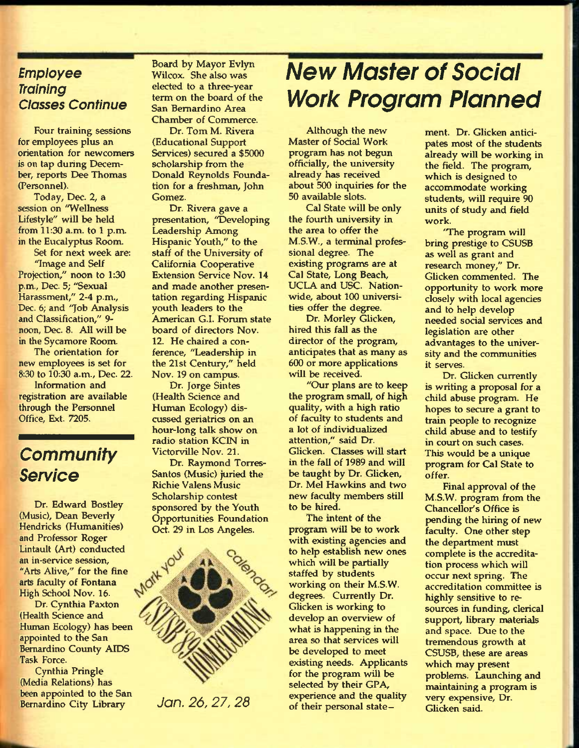#### *Employee Training Classes Continue*

Four training sessions for employees plus an orientation for newcomers is on tap during December, reports Dee Thomas (Personnel).

Today, Dec. 2, a session on "Wellness Lifestyle" will be held from 11:30 a.m. to 1 p.m. in the Eucalyptus Room.

Set for next week are: "Image and Self Projection," noon to 1:30 p.m., Dec. 5; "Sexual Harassment," 2-4 p.m., Dec. 6; and 'Job Analysis and Classification," 9 noon, Dec. 8. All will be in the Sycamore Room.

The orientation for new employees is set for 8:30 to 10:30 a.m., Dec. 22.

Information and registration are available through the Personnel Office, Ext. 7205.

### *Community Service*

Dr. Edward Bostley (Music), Dean Beverly Hendricks (Humanities) and Professor Roger Lintault (Art) conducted an in-service session, "Arts Alive," for the fine arts faculty of Fontana High School Nov. 16.

Dr. Cynthia Paxton (Health Science and Human Ecology) has been appointed to the San Bernardino County AIDS Task Force.

Cynthia Pringle (Media Relations) has been appointed to the San Bernardino City Library

Board by Mayor Evlyn Wilcox. She also was elected to a three-year term on the board of the San Bernardino Area Chamber of Commerce.

Dr. Tom M. Rivera (Educational Support Services) secured a \$5000 scholarship from the Donald Reynolds Foundation for a freshman, John Gomez.

Dr. Rivera gave a presentation, "Developing Leadership Among Hispanic Youth," to the staff of the University of California Cooperative Extension Service Nov. 14 and made another presentation regarding Hispanic youth leaders to the American G.I. Forum state board of directors Nov. 12. He chaired a conference, "Leadership in the 21st Century," held Nov. 19 on campus.

Dr. Jorge Sintes (Health Science and Human Ecology) discussed geriatrics on an hour-long talk show on radio station KCIN in Victorville Nov. 21.

Dr. Raymond Torres-Santos (Music) juried the Richie Valens Music Scholarship contest sponsored by the Youth **Opportunities Foundation** Ort. 29 in Los Angeles.



# *New Master of Social Work Program Planned*

Although the new Master of Social Work program has not begun officially, the university already has received about 500 inquiries for the 50 available slote.

Cal State will be only the fourth university in the area to offer the M.S.W., a terminal professional degree. The existing programs are at Cal State, Long Beach, UCLA and USC. Nationwide, about 100 universities offer the degree.

Dr. Morley Glicken, hired this fall as the director of the program, anticipates that as many as 600 or more applications will be received.

"Our plans are to keep the program small, of high quality, with a high ratio of faculty to students and a lot of individualized attention," said Dr. Glicken. Classes will start in the fall of 1989 and will be taught by Dr. Glicken, Dr. Mel Hawkins and two new faculty members still to be hired.

The intent of the program will be to work with existing agencies and to help establish new ones which will be partially staffed by students working on their M.S.W. degrees. Currently Dr. Glicken is working to develop an overview of what is happening in the area so that services will be developed to meet existing needs. Applicants for the program will be selected by their GPA, experience and the quality of their personal state-Jan. 26, 27, 28 experience and the quality very expensively of their personal state-<br>Glicken said.

ment. Dr. Glicken anticipates most of the students already will be working in the field. The program, which is designed to accommodate working students, will require 90 units of study and field work.

"The program will bring prestige to CSUSB as well as grant and research money," Dr. Glicken commented. The opportunity to work more closely with local agencies and to help develop needed social services and legislation are other advantages to the university and the communities it serves.

Dr. Glicken currently is writing a proposal for a child abuse program. He hopes to secure a grant to train people to recognize child abuse and to testify in court on such cases. This would be a unique program for Cal State to offer.

Final approval of the M.S.W. program from the Chancellor's Office is pending the hiring of new faculty. One other step the department must complete is the accreditation process which will occur next spring. The accreditation committee is highly sensitive to resources in funding, clerical support, library materials and space. Due to the tremendous growth at CSUSB, these are areas which may present problems. Launching and maintaining a program is very expensive. Dr.